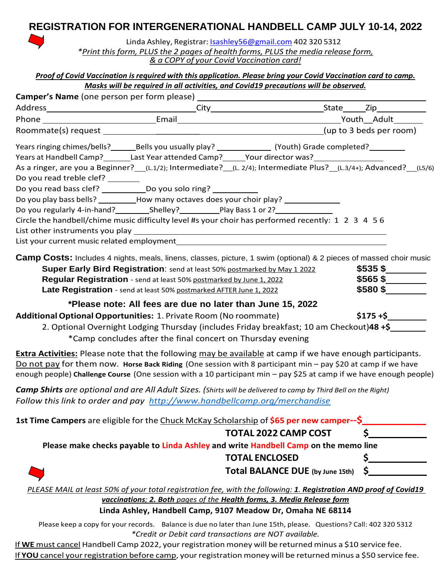## **REGISTRATION FOR INTERGENERATIONAL HANDBELL CAMP JULY 10-14, 2022**



Linda Ashley, Registrar: [Isashley56@gmail.com](mailto:Isashley56@gmail.com) 402 320 5312

*\*Print this form, PLUS the 2 pages of health forms, PLUS the media release form, & a COPY of your Covid Vaccination card!*

*Proof of Covid Vaccination isrequired with this application. Please bring your Covid Vaccination card to camp. Masks will be required in all activities, and Covid19 precautions will be observed.*

|                                                                           |                                                                                                                                            | Years at Handbell Camp?________Last Year attended Camp?______Your director was?____________________                                                                                                                                                                                                                                                     |            |
|---------------------------------------------------------------------------|--------------------------------------------------------------------------------------------------------------------------------------------|---------------------------------------------------------------------------------------------------------------------------------------------------------------------------------------------------------------------------------------------------------------------------------------------------------------------------------------------------------|------------|
| Do you read treble clef? _______                                          |                                                                                                                                            | As a ringer, are you a Beginner? (L.1/2); Intermediate? (L. 2/4); Intermediate Plus? (L.3/4+); Advanced? (L5/6)                                                                                                                                                                                                                                         |            |
| Do you read bass clef? _______________ Do you solo ring? _____________    |                                                                                                                                            |                                                                                                                                                                                                                                                                                                                                                         |            |
|                                                                           |                                                                                                                                            | Do you play bass bells? ___________How many octaves does your choir play? _____________                                                                                                                                                                                                                                                                 |            |
|                                                                           |                                                                                                                                            |                                                                                                                                                                                                                                                                                                                                                         |            |
|                                                                           |                                                                                                                                            | Circle the handbell/chime music difficulty level #s your choir has performed recently: 1 2 3 4 5 6                                                                                                                                                                                                                                                      |            |
|                                                                           |                                                                                                                                            |                                                                                                                                                                                                                                                                                                                                                         |            |
|                                                                           |                                                                                                                                            |                                                                                                                                                                                                                                                                                                                                                         |            |
|                                                                           | Regular Registration - send at least 50% postmarked by June 1, 2022<br>Late Registration - send at least 50% postmarked AFTER June 1, 2022 | Camp Costs: Includes 4 nights, meals, linens, classes, picture, 1 swim (optional) & 2 pieces of massed choir music<br>Super Early Bird Registration: send at least 50% postmarked by May 1 2022                                                                                                                                                         | $$580$ \$  |
|                                                                           | *Please note: All fees are due no later than June 15, 2022                                                                                 |                                                                                                                                                                                                                                                                                                                                                         |            |
| Additional Optional Opportunities: 1. Private Room (No roommate)          |                                                                                                                                            |                                                                                                                                                                                                                                                                                                                                                         | $$175 + $$ |
|                                                                           |                                                                                                                                            | 2. Optional Overnight Lodging Thursday (includes Friday breakfast; 10 am Checkout)48 +\$                                                                                                                                                                                                                                                                |            |
|                                                                           | *Camp concludes after the final concert on Thursday evening                                                                                |                                                                                                                                                                                                                                                                                                                                                         |            |
|                                                                           |                                                                                                                                            | <b>Extra Activities:</b> Please note that the following may be available at camp if we have enough participants.<br>Do not pay for them now. Horse Back Riding (One session with 8 participant min - pay \$20 at camp if we have<br>enough people) Challenge Course (One session with a 10 participant min - pay \$25 at camp if we have enough people) |            |
|                                                                           |                                                                                                                                            | <b>Camp Shirts</b> are optional and are All Adult Sizes. (Shirts will be delivered to camp by Third Bell on the Right)                                                                                                                                                                                                                                  |            |
| Follow this link to order and pay http://www.handbellcamp.org/merchandise |                                                                                                                                            |                                                                                                                                                                                                                                                                                                                                                         |            |
|                                                                           |                                                                                                                                            | 1st Time Campers are eligible for the Chuck McKay Scholarship of \$65 per new camper--\$                                                                                                                                                                                                                                                                |            |
|                                                                           |                                                                                                                                            | <b>TOTAL 2022 CAMP COST</b>                                                                                                                                                                                                                                                                                                                             |            |
|                                                                           |                                                                                                                                            | Please make checks payable to Linda Ashley and write Handbell Camp on the memo line                                                                                                                                                                                                                                                                     |            |
|                                                                           |                                                                                                                                            | <b>TOTAL ENCLOSED</b>                                                                                                                                                                                                                                                                                                                                   |            |
|                                                                           |                                                                                                                                            | <b>Total BALANCE DUE (by June 15th)</b>                                                                                                                                                                                                                                                                                                                 |            |
|                                                                           |                                                                                                                                            | PLEASE MAIL at least 50% of your total registration fee, with the following: 1. Registration AND proof of Covid19                                                                                                                                                                                                                                       |            |
|                                                                           |                                                                                                                                            | vaccinations; 2. Both pages of the Health forms, 3. Media Release form                                                                                                                                                                                                                                                                                  |            |
|                                                                           |                                                                                                                                            | Linda Ashley, Handbell Camp, 9107 Meadow Dr, Omaha NE 68114                                                                                                                                                                                                                                                                                             |            |

Please keep a copy for your records. Balance is due no later than June 15th, please. Questions? Call: 402 320 5312 *\*Credit or Debit card transactions are NOT available.*

If WE must cancel Handbell Camp 2022, your registration money will be returned minus a \$10 service fee. If **YOU** cancel your registration before camp, your registration money will be returned minus a \$50 service fee.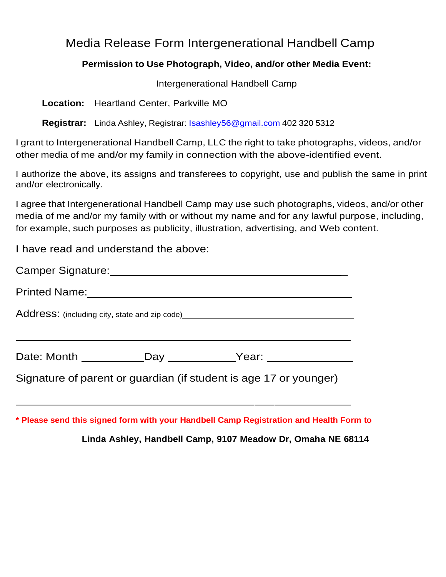# Media Release Form Intergenerational Handbell Camp

### **Permission to Use Photograph, Video, and/or other Media Event:**

Intergenerational Handbell Camp

**Location:** Heartland Center, Parkville MO

**Registrar:** Linda Ashley, Registrar: [Isashley56@gmail.com](mailto:Isashley56@gmail.com) 402 320 5312

I grant to Intergenerational Handbell Camp, LLC the right to take photographs, videos, and/or other media of me and/or my family in connection with the above-identified event.

I authorize the above, its assigns and transferees to copyright, use and publish the same in print and/or electronically.

I agree that Intergenerational Handbell Camp may use such photographs, videos, and/or other media of me and/or my family with or without my name and for any lawful purpose, including, for example, such purposes as publicity, illustration, advertising, and Web content.

I have read and understand the above:

| Address: (including city, state and zip code) __________________________________ |  |                                                                                  |  |  |  |  |  |
|----------------------------------------------------------------------------------|--|----------------------------------------------------------------------------------|--|--|--|--|--|
|                                                                                  |  | Date: Month _____________Day ____________Year: _________________________________ |  |  |  |  |  |
| Signature of parent or guardian (if student is age 17 or younger)                |  |                                                                                  |  |  |  |  |  |

**\* Please send this signed form with your Handbell Camp Registration and Health Form to**

**Linda Ashley, Handbell Camp, 9107 Meadow Dr, Omaha NE 68114**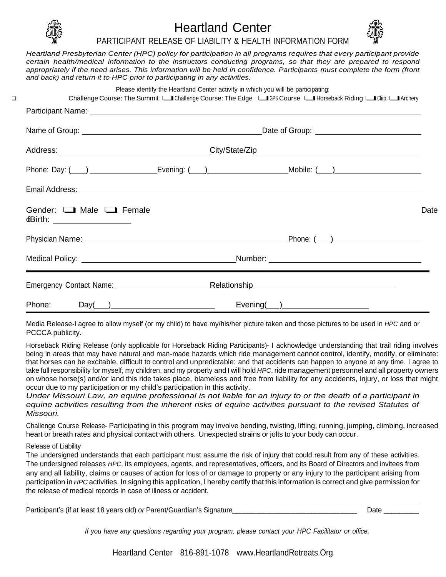

### Heartland Center PARTICIPANT RELEASE OF LIABILITY & HEALTH INFORMATION FORM



*Heartland Presbyterian Center (HPC) policy for participation in all programs requires that every participant provide certain health/medical information to the instructors conducting programs, so that they are prepared to respond appropriately if the need arises. This information will be held in confidence. Participants must complete the form (front and back) and return it to HPC prior to participating in any activities.*

|                                                                           | Please identify the Heartland Center activity in which you will be participating: | Challenge Course: The Summit Consellenge Course: The Edge Course Course Course Riding Course: The Summit Consellenge Course: The Edge Course Course Course 2016                                                                      |      |
|---------------------------------------------------------------------------|-----------------------------------------------------------------------------------|--------------------------------------------------------------------------------------------------------------------------------------------------------------------------------------------------------------------------------------|------|
|                                                                           |                                                                                   |                                                                                                                                                                                                                                      |      |
|                                                                           |                                                                                   |                                                                                                                                                                                                                                      |      |
|                                                                           |                                                                                   |                                                                                                                                                                                                                                      |      |
|                                                                           |                                                                                   |                                                                                                                                                                                                                                      |      |
|                                                                           |                                                                                   |                                                                                                                                                                                                                                      |      |
| Gender: $\Box$ Male $\Box$ Female<br><b>dBirth:</b> _____________________ |                                                                                   |                                                                                                                                                                                                                                      | Date |
|                                                                           |                                                                                   | Physician Name: <u>Department of the Contract of Contract Contract of Contract Contract Contract Oriental Contract Contract Contract Contract Contract Contract Contract Contract Contract Contract Contract Contract Contract C</u> |      |
|                                                                           |                                                                                   |                                                                                                                                                                                                                                      |      |
|                                                                           |                                                                                   |                                                                                                                                                                                                                                      |      |
| Phone:                                                                    | $Day(\_\_)$                                                                       | $Evening(\_\_)$                                                                                                                                                                                                                      |      |

Media Release-I agree to allow myself (or my child) to have my/his/her picture taken and those pictures to be used in *HPC* and or PCCCA publicity.

Horseback Riding Release (only applicable for Horseback Riding Participants)- I acknowledge understanding that trail riding involves being in areas that may have natural and man-made hazards which ride management cannot control, identify, modify, or eliminate: that horses can be excitable, difficult to control and unpredictable: and that accidents can happen to anyone at any time. I agree to take full responsibility for myself, my children, and my property and I will hold *HPC*, ride management personnel and all property owners on whose horse(s) and/or land this ride takes place, blameless and free from liability for any accidents, injury, or loss that might occur due to my participation or my child's participation in this activity.

Under Missouri Law, an equine professional is not liable for an injury to or the death of a participant in *equine activities resulting from the inherent risks of equine activities pursuant to the revised Statutes of Missouri.*

Challenge Course Release- Participating in this program may involve bending, twisting, lifting, running, jumping, climbing, increased heart or breath rates and physical contact with others. Unexpected strains or jolts to your body can occur.

Release of Liability

The undersigned understands that each participant must assume the risk of injury that could result from any of these activities. The undersigned releases *HPC*, its employees, agents, and representatives, officers, and its Board of Directors and invitees from any and all liability, claims or causes of action for loss of or damage to property or any injury to the participant arising from participation in *HPC* activities. In signing this application, I hereby certify that this information is correct and give permission for the release of medical records in case of illness or accident.

Participant's (if at least 18 years old) *or* Parent/Guardian's Signature\_\_\_\_\_\_\_\_\_\_\_\_\_\_\_\_\_\_\_\_\_\_\_\_\_\_\_\_\_\_\_\_\_ Date \_\_\_\_\_\_\_\_\_

*If you have any questions regarding your program, please contact your HPC Facilitator or office.*